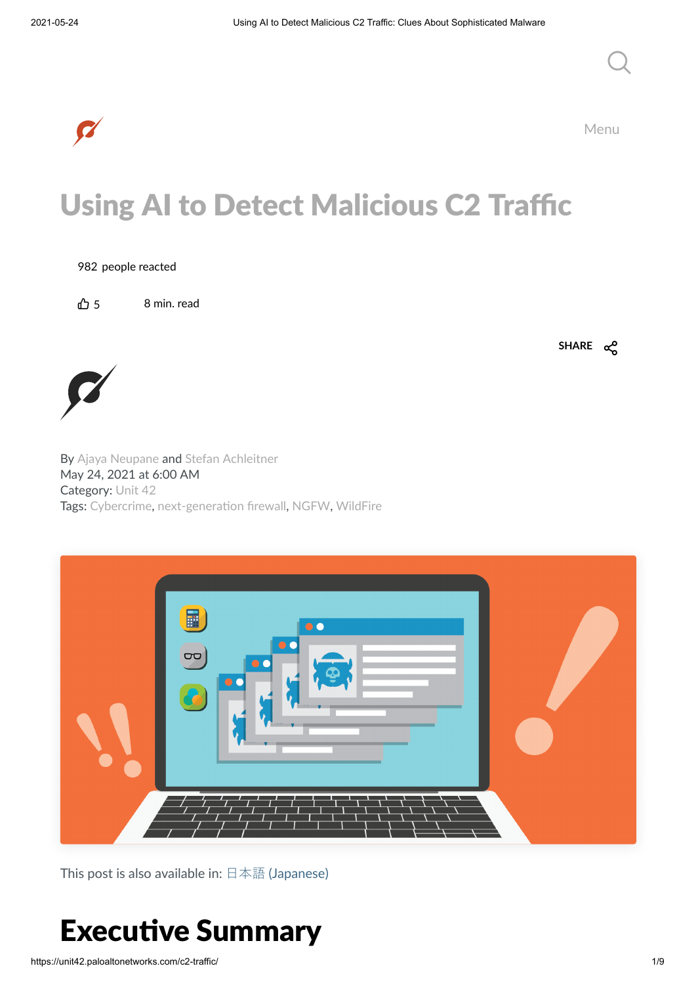

Menu

# Using AI to Detect Malicious C2 Traffic

#### 982 people reacted

 $\bigcap_{i=1}^n$  5 8 min. read

**SHARE**



By Ajaya [Neupane](https://unit42.paloaltonetworks.com/author/ajaya-neupane/) and Stefan [Achleitner](https://unit42.paloaltonetworks.com/author/stefan-achleitner/) May 24, 2021 at 6:00 AM Category: [Unit](https://unit42.paloaltonetworks.com/category/unit-42/) 42 Tags: [Cybercrime,](https://unit42.paloaltonetworks.com/tag/cybercrime/) next-generation firewall, [NGFW,](https://unit42.paloaltonetworks.com/tag/ngfw/) [WildFire](https://unit42.paloaltonetworks.com/tag/wildfire/)



This post is also available in:  $\exists$  本語 [\(Japanese\)](https://unit42.paloaltonetworks.jp/c2-traffic/)

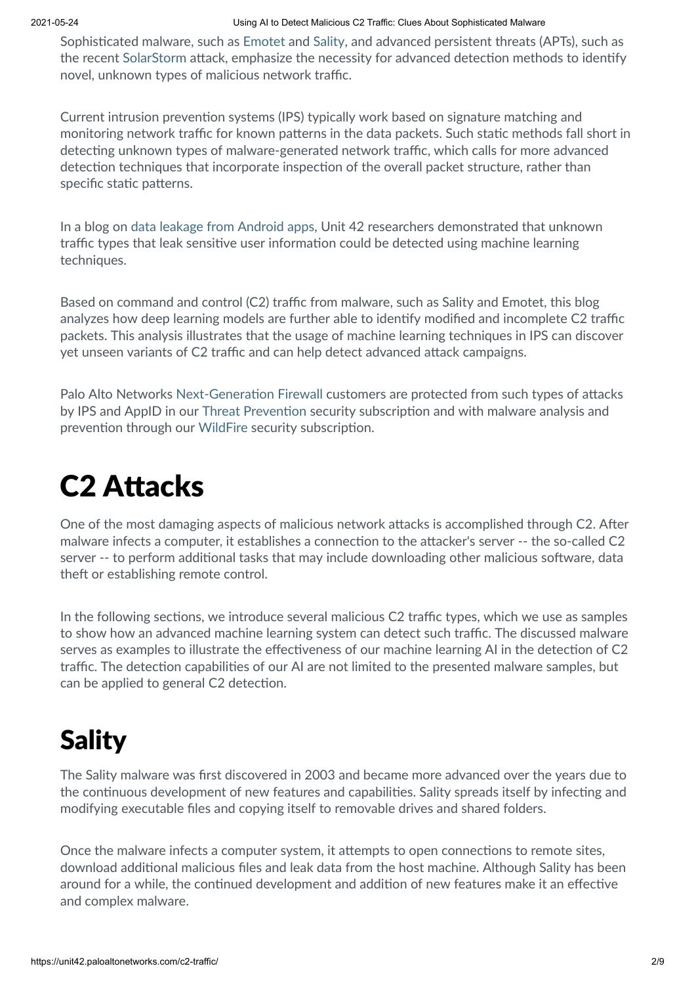#### 2021-05-24 Using AI to Detect Malicious C2 Traffic: Clues About Sophisticated Malware

Sophisticated malware, such as [Emotet](https://unit42.paloaltonetworks.com/emotet-command-and-control/) and [Sality,](https://www.zdnet.com/article/tricky-trojan-targets-news-website-to-backdoor-your-pc/) and advanced persistent threats (APTs), such as the recent [SolarStorm](https://unit42.paloaltonetworks.com/solarstorm-supply-chain-attack-timeline/) attack, emphasize the necessity for advanced detection methods to identify novel, unknown types of malicious network traffic.

Current intrusion prevention systems (IPS) typically work based on signature matching and monitoring network traffic for known patterns in the data packets. Such static methods fall short in detecting unknown types of malware-generated network traffic, which calls for more advanced detection techniques that incorporate inspection of the overall packet structure, rather than specific static patterns.

In a blog on data leakage from [Android](https://unit42.paloaltonetworks.com/android-apps-data-leakage/) apps, Unit 42 researchers demonstrated that unknown traffic types that leak sensitive user information could be detected using machine learning techniques.

Based on command and control (C2) traffic from malware, such as Sality and Emotet, this blog analyzes how deep learning models are further able to identify modified and incomplete C2 traffic packets. This analysis illustrates that the usage of machine learning techniques in IPS can discover yet unseen variants of C2 traffic and can help detect advanced attack campaigns.

Palo Alto Networks Next-Generation Firewall customers are protected from such types of attacks by IPS and AppID in our Threat Prevention security subscription and with malware analysis and prevention through our [WildFire](https://www.paloaltonetworks.com/products/secure-the-network/wildfire) security subscription.

## **C2 Attacks**

One of the most damaging aspects of malicious network attacks is accomplished through C2. After malware infects a computer, it establishes a connection to the attacker's server -- the so-called C2 server -- to perform additional tasks that may include downloading other malicious software, data theft or establishing remote control.

In the following sections, we introduce several malicious C2 traffic types, which we use as samples to show how an advanced machine learning system can detect such traffic. The discussed malware serves as examples to illustrate the effectiveness of our machine learning AI in the detection of C2 traffic. The detection capabilities of our AI are not limited to the presented malware samples, but can be applied to general C2 detection.

## Sality

The Sality malware was first discovered in 2003 and became more advanced over the years due to the continuous development of new features and capabilities. Sality spreads itself by infecting and modifying executable files and copying itself to removable drives and shared folders.

Once the malware infects a computer system, it attempts to open connections to remote sites, download additional malicious files and leak data from the host machine. Although Sality has been around for a while, the continued development and addition of new features make it an effective and complex malware.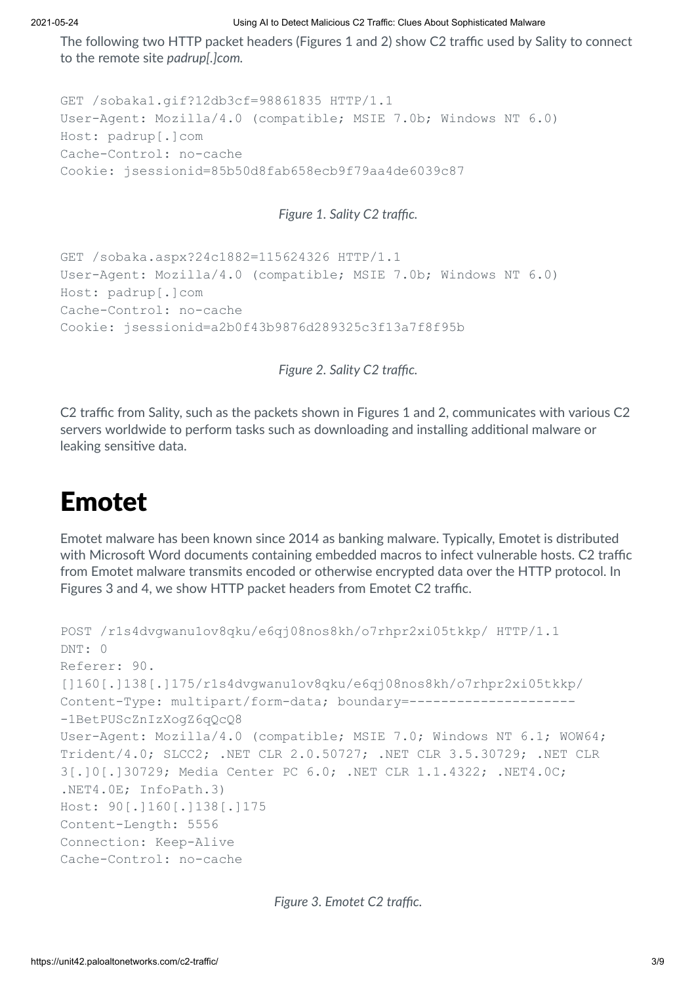#### 2021-05-24 Using AI to Detect Malicious C2 Traffic: Clues About Sophisticated Malware

The following two HTTP packet headers (Figures 1 and 2) show C2 traffic used by Sality to connect to the remote site *padrup[.]com.*

```
GET /sobaka1.gif?12db3cf=98861835 HTTP/1.1
User-Agent: Mozilla/4.0 (compatible; MSIE 7.0b; Windows NT 6.0)
Host: padrup[.]com
Cache-Control: no-cache
Cookie: jsessionid=85b50d8fab658ecb9f79aa4de6039c87
```
### *Figure 1. Sality C2 traffic.*

```
GET /sobaka.aspx?24c1882=115624326 HTTP/1.1
User-Agent: Mozilla/4.0 (compatible; MSIE 7.0b; Windows NT 6.0)
Host: padrup[.]com
Cache-Control: no-cache
Cookie: jsessionid=a2b0f43b9876d289325c3f13a7f8f95b
```
*Figure 2. Sality C2 traffic.*

C2 traffic from Sality, such as the packets shown in Figures 1 and 2, communicates with various C2 servers worldwide to perform tasks such as downloading and installing additional malware or leaking sensitive data.

### Emotet

Emotet malware has been known since 2014 as banking malware. Typically, Emotet is distributed with Microsoft Word documents containing embedded macros to infect vulnerable hosts. C2 traffic from Emotet malware transmits encoded or otherwise encrypted data over the HTTP protocol. In Figures 3 and 4, we show HTTP packet headers from Emotet C2 traffic.

```
POST /r1s4dvgwanu1ov8qku/e6qj08nos8kh/o7rhpr2xi05tkkp/ HTTP/1.1
DNT: 0
Referer: 90.
[]160[.]138[.]175/r1s4dvgwanu1ov8qku/e6qj08nos8kh/o7rhpr2xi05tkkp/
Content-Type: multipart/form-data; boundary=---------------------
-1BetPUScZnIzXogZ6qQcQ8
User-Agent: Mozilla/4.0 (compatible; MSIE 7.0; Windows NT 6.1; WOW64;
Trident/4.0; SLCC2; .NET CLR 2.0.50727; .NET CLR 3.5.30729; .NET CLR
3[.]0[.]30729; Media Center PC 6.0; .NET CLR 1.1.4322; .NET4.0C;
.NET4.0E; InfoPath.3)
Host: 90[.]160[.]138[.]175
Content-Length: 5556
Connection: Keep-Alive
Cache-Control: no-cache
```
*Figure 3. Emotet C2 traffic.*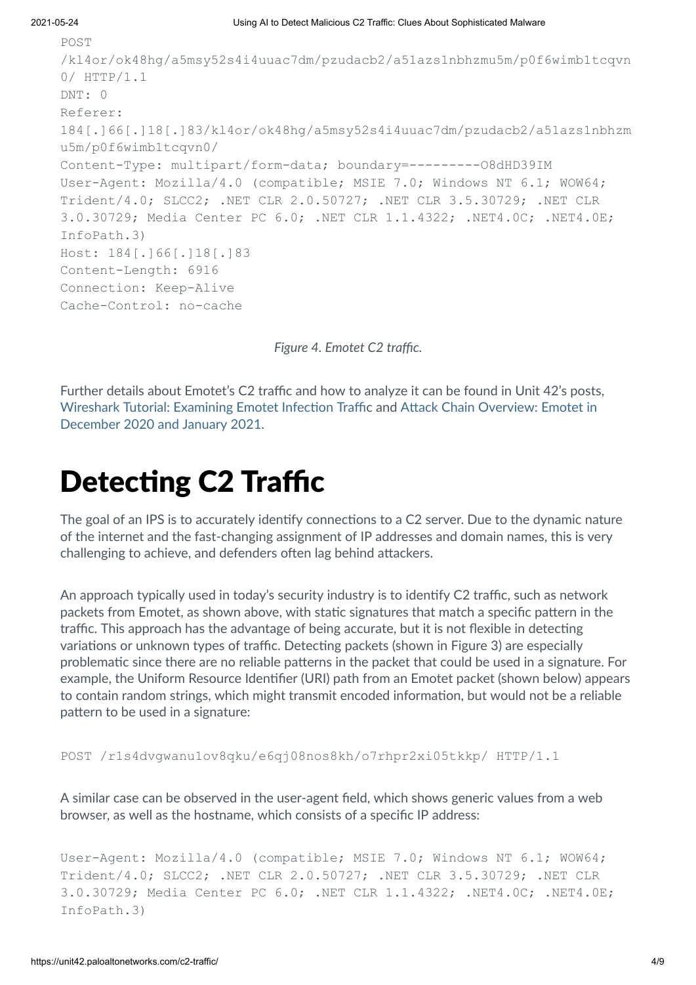```
POST
/kl4or/ok48hg/a5msy52s4i4uuac7dm/pzudacb2/a51azs1nbhzmu5m/p0f6wimb1tcqvn
0/ HTTP/1.1
DNT: 0
Referer:
184[.]66[.]18[.]83/kl4or/ok48hg/a5msy52s4i4uuac7dm/pzudacb2/a51azs1nbhzm
u5m/p0f6wimb1tcqvn0/
Content-Type: multipart/form-data; boundary=---------O8dHD39IM
User-Agent: Mozilla/4.0 (compatible; MSIE 7.0; Windows NT 6.1; WOW64;
Trident/4.0; SLCC2; .NET CLR 2.0.50727; .NET CLR 3.5.30729; .NET CLR
3.0.30729; Media Center PC 6.0; .NET CLR 1.1.4322; .NET4.0C; .NET4.0E;
InfoPath.3)
Host: 184[.]66[.]18[.]83
Content-Length: 6916
Connection: Keep-Alive
Cache-Control: no-cache
```
*Figure 4. Emotet C2 traffic.*

Further details about Emotet's C2 traffic and how to analyze it can be found in Unit 42's posts, Wireshark Tutorial: [Examining](https://unit42.paloaltonetworks.com/wireshark-tutorial-emotet-infection/) Emotet Infection Traffic and Attack Chain Overview: Emotet in December 2020 and January 2021.

## **Detecting C2 Traffic**

The goal of an IPS is to accurately identify connections to a C2 server. Due to the dynamic nature of the internet and the fast-changing assignment of IP addresses and domain names, this is very challenging to achieve, and defenders often lag behind attackers.

An approach typically used in today's security industry is to identify C2 traffic, such as network packets from Emotet, as shown above, with static signatures that match a specific pattern in the traffic. This approach has the advantage of being accurate, but it is not flexible in detecting variations or unknown types of traffic. Detecting packets (shown in Figure 3) are especially problematic since there are no reliable patterns in the packet that could be used in a signature. For example, the Uniform Resource Idenfier (URI) path from an Emotet packet (shown below) appears to contain random strings, which might transmit encoded information, but would not be a reliable pattern to be used in a signature:

POST /r1s4dvgwanu1ov8qku/e6qj08nos8kh/o7rhpr2xi05tkkp/ HTTP/1.1

A similar case can be observed in the user-agent field, which shows generic values from a web browser, as well as the hostname, which consists of a specific IP address:

```
User-Agent: Mozilla/4.0 (compatible; MSIE 7.0; Windows NT 6.1; WOW64;
Trident/4.0; SLCC2; .NET CLR 2.0.50727; .NET CLR 3.5.30729; .NET CLR
3.0.30729; Media Center PC 6.0; .NET CLR 1.1.4322; .NET4.0C; .NET4.0E;
InfoPath.3)
```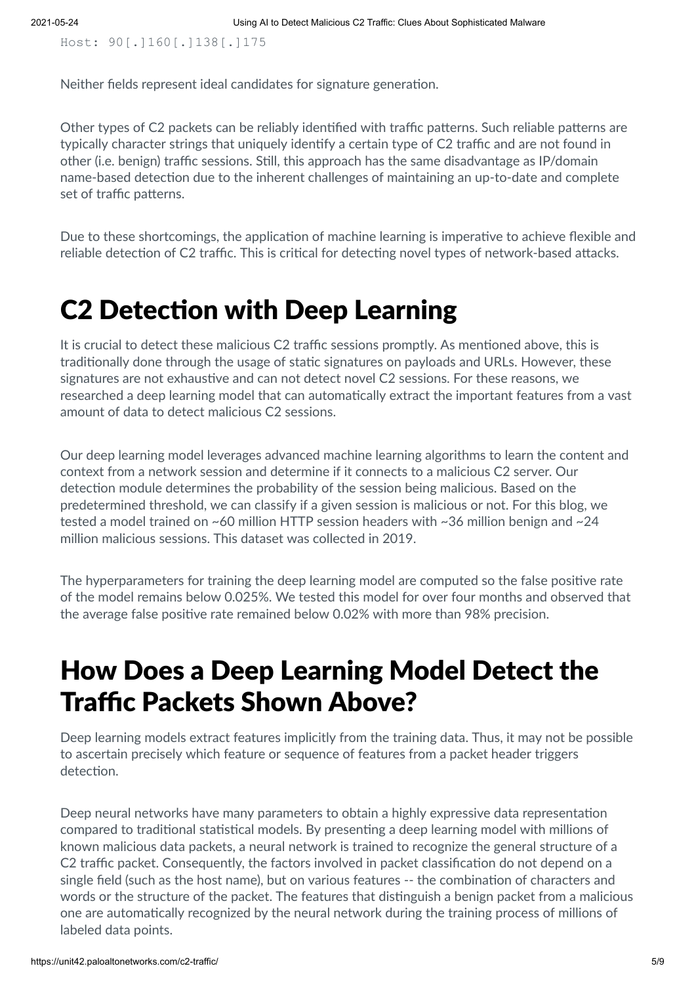Host: 90[.]160[.]138[.]175

Neither fields represent ideal candidates for signature generation.

Other types of C2 packets can be reliably identified with traffic patterns. Such reliable patterns are typically character strings that uniquely identify a certain type of C2 traffic and are not found in other (i.e. benign) traffic sessions. Still, this approach has the same disadvantage as IP/domain name-based detection due to the inherent challenges of maintaining an up-to-date and complete set of traffic patterns.

Due to these shortcomings, the application of machine learning is imperative to achieve flexible and reliable detection of C2 traffic. This is critical for detecting novel types of network-based attacks.

### **C2 Detection with Deep Learning**

It is crucial to detect these malicious C2 traffic sessions promptly. As mentioned above, this is traditionally done through the usage of static signatures on payloads and URLs. However, these signatures are not exhaustive and can not detect novel C2 sessions. For these reasons, we researched a deep learning model that can automatically extract the important features from a vast amount of data to detect malicious C2 sessions.

Our deep learning model leverages advanced machine learning algorithms to learn the content and context from a network session and determine if it connects to a malicious C2 server. Our detection module determines the probability of the session being malicious. Based on the predetermined threshold, we can classify if a given session is malicious or not. For this blog, we tested a model trained on ~60 million HTTP session headers with ~36 million benign and ~24 million malicious sessions. This dataset was collected in 2019.

The hyperparameters for training the deep learning model are computed so the false positive rate of the model remains below 0.025%. We tested this model for over four months and observed that the average false positive rate remained below 0.02% with more than 98% precision.

## How Does a Deep Learning Model Detect the Traffic Packets Shown Above?

Deep learning models extract features implicitly from the training data. Thus, it may not be possible to ascertain precisely which feature or sequence of features from a packet header triggers detection.

Deep neural networks have many parameters to obtain a highly expressive data representation compared to traditional statistical models. By presenting a deep learning model with millions of known malicious data packets, a neural network is trained to recognize the general structure of a C2 traffic packet. Consequently, the factors involved in packet classification do not depend on a single field (such as the host name), but on various features -- the combination of characters and words or the structure of the packet. The features that distinguish a benign packet from a malicious one are automatically recognized by the neural network during the training process of millions of labeled data points.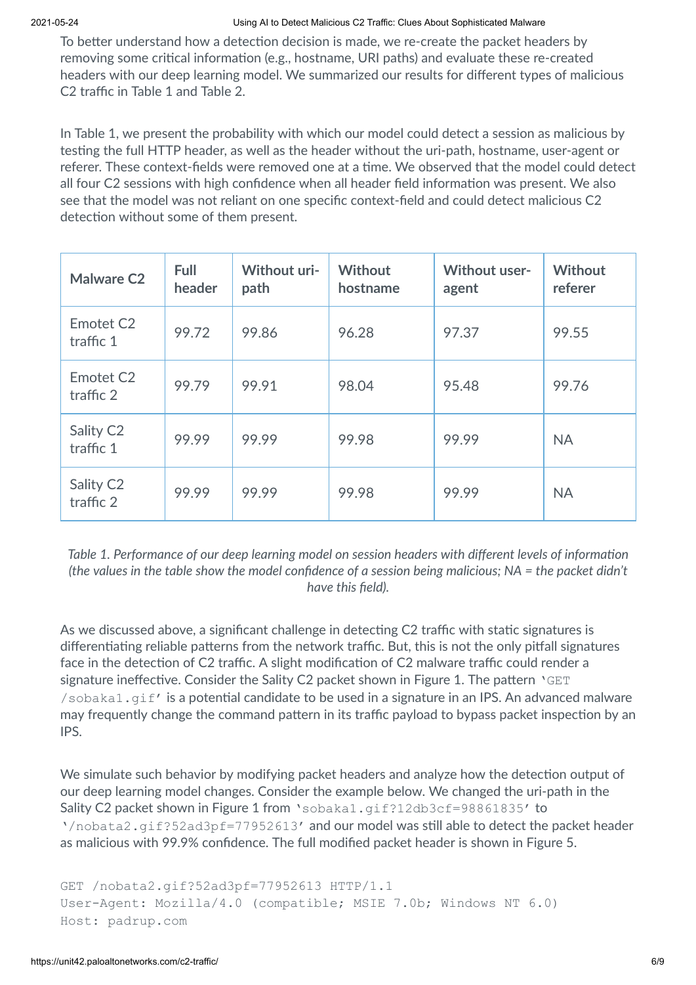To better understand how a detection decision is made, we re-create the packet headers by removing some critical information (e.g., hostname, URI paths) and evaluate these re-created headers with our deep learning model. We summarized our results for different types of malicious C2 traffic in Table 1 and Table 2.

In Table 1, we present the probability with which our model could detect a session as malicious by testing the full HTTP header, as well as the header without the uri-path, hostname, user-agent or referer. These context-fields were removed one at a time. We observed that the model could detect all four C2 sessions with high confidence when all header field information was present. We also see that the model was not reliant on one specific context-field and could detect malicious C2 detection without some of them present.

| <b>Malware C2</b>                  | <b>Full</b><br>header | <b>Without uri-</b><br>path | <b>Without</b><br>hostname | Without user-<br>agent | <b>Without</b><br>referer |
|------------------------------------|-----------------------|-----------------------------|----------------------------|------------------------|---------------------------|
| Emotet C <sub>2</sub><br>traffic 1 | 99.72                 | 99.86                       | 96.28                      | 97.37                  | 99.55                     |
| Emotet C <sub>2</sub><br>traffic 2 | 99.79                 | 99.91                       | 98.04                      | 95.48                  | 99.76                     |
| Sality C <sub>2</sub><br>traffic 1 | 99.99                 | 99.99                       | 99.98                      | 99.99                  | <b>NA</b>                 |
| Sality C <sub>2</sub><br>traffic 2 | 99.99                 | 99.99                       | 99.98                      | 99.99                  | <b>NA</b>                 |

*Table* 1. Performance of our deep learning model on session headers with different levels of information (the values in the table show the model confidence of a session being malicious;  $NA =$  the packet didn't *have this field).*

As we discussed above, a significant challenge in detecting C2 traffic with static signatures is differentiating reliable patterns from the network traffic. But, this is not the only pitfall signatures face in the detection of C2 traffic. A slight modification of C2 malware traffic could render a signature ineffective. Consider the Sality C2 packet shown in Figure 1. The pattern  $VGET$  $/$ sobaka1.gif' is a potential candidate to be used in a signature in an IPS. An advanced malware may frequently change the command pattern in its traffic payload to bypass packet inspection by an IPS.

We simulate such behavior by modifying packet headers and analyze how the detection output of our deep learning model changes. Consider the example below. We changed the uri-path in the Sality C2 packet shown in Figure 1 from 'sobaka1.gif?12db3cf=98861835' to '/nobata2.gif?52ad3pf=77952613' and our model was still able to detect the packet header as malicious with 99.9% confidence. The full modified packet header is shown in Figure 5.

```
GET /nobata2.gif?52ad3pf=77952613 HTTP/1.1
User-Agent: Mozilla/4.0 (compatible; MSIE 7.0b; Windows NT 6.0)
Host: padrup.com
```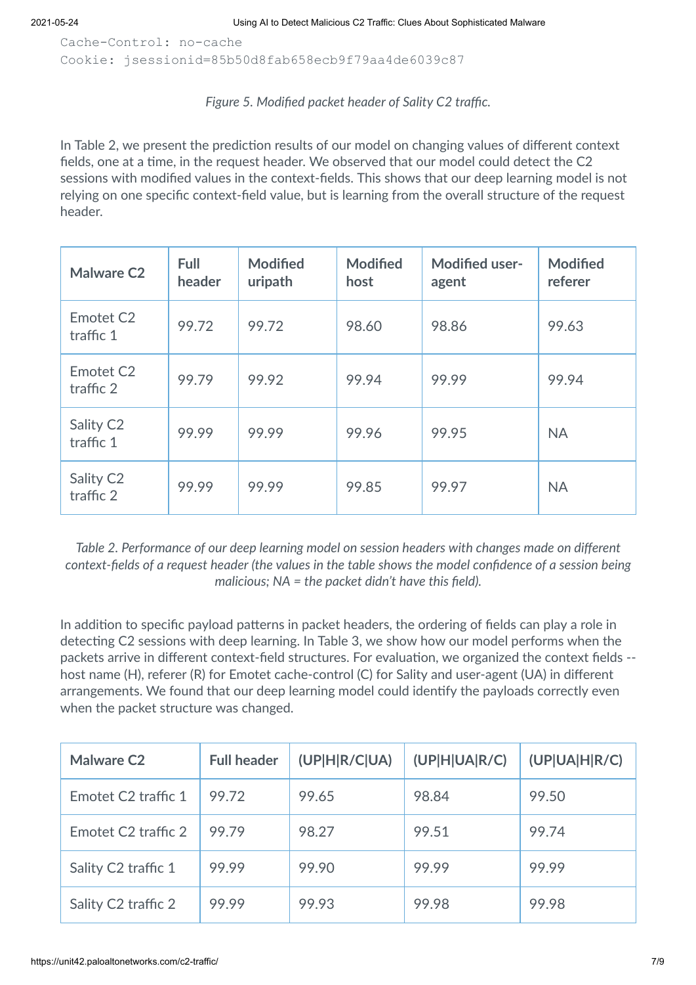Cache-Control: no-cache Cookie: jsessionid=85b50d8fab658ecb9f79aa4de6039c87

### *Figure 5. Modified packet header of Sality C2 traffic.*

In Table 2, we present the prediction results of our model on changing values of different context fields, one at a time, in the request header. We observed that our model could detect the C2 sessions with modified values in the context-fields. This shows that our deep learning model is not relying on one specific context-field value, but is learning from the overall structure of the request header.

| <b>Malware C2</b>                  | Full<br>header | <b>Modified</b><br>uripath | <b>Modified</b><br>host | <b>Modified user-</b><br>agent | <b>Modified</b><br>referer |
|------------------------------------|----------------|----------------------------|-------------------------|--------------------------------|----------------------------|
| Emotet C <sub>2</sub><br>traffic 1 | 99.72          | 99.72                      | 98.60                   | 98.86                          | 99.63                      |
| Emotet C <sub>2</sub><br>traffic 2 | 99.79          | 99.92                      | 99.94                   | 99.99                          | 99.94                      |
| Sality C <sub>2</sub><br>traffic 1 | 99.99          | 99.99                      | 99.96                   | 99.95                          | <b>NA</b>                  |
| Sality C <sub>2</sub><br>traffic 2 | 99.99          | 99.99                      | 99.85                   | 99.97                          | <b>NA</b>                  |

*Table 2. Performance of our deep learning model on session headers with changes made on different context-fields of a request header (the values in the table shows the model confidence of a session being malicious; NA = the packet didn't have this field).*

In addition to specific payload patterns in packet headers, the ordering of fields can play a role in detecting C2 sessions with deep learning. In Table 3, we show how our model performs when the packets arrive in different context-field structures. For evaluation, we organized the context fields -host name (H), referer (R) for Emotet cache-control (C) for Sality and user-agent (UA) in different arrangements. We found that our deep learning model could identify the payloads correctly even when the packet structure was changed.

| <b>Malware C2</b>               | <b>Full header</b> | (UPIH R/C UA) | (UP H UA R/C) | (UP UA H R/C) |
|---------------------------------|--------------------|---------------|---------------|---------------|
| Emotet C <sub>2</sub> traffic 1 | 99.72              | 99.65         | 98.84         | 99.50         |
| Emotet C <sub>2</sub> traffic 2 | 99.79              | 98.27         | 99.51         | 99.74         |
| Sality C2 traffic 1             | 99.99              | 99.90         | 99.99         | 99.99         |
| Sality C2 traffic 2             | 99.99              | 99.93         | 99.98         | 99.98         |